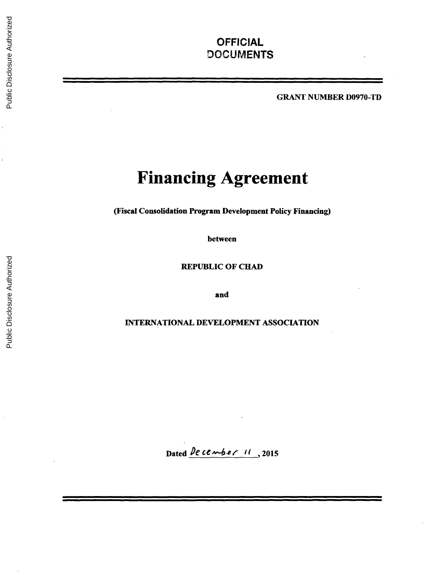# **OFFICIAL DOCUMENTS**

GRANT **NUMBER D0970-TD**

# **Financing Agreement**

(Fiscal Consolidation Program Development Policy Financing)

between

REPUBLIC OF **CHAD**

and

# **INTERNATIONAL DEVELOPMENT ASSOCIATION**

Dated *De cember 11*, 2015

ŀ.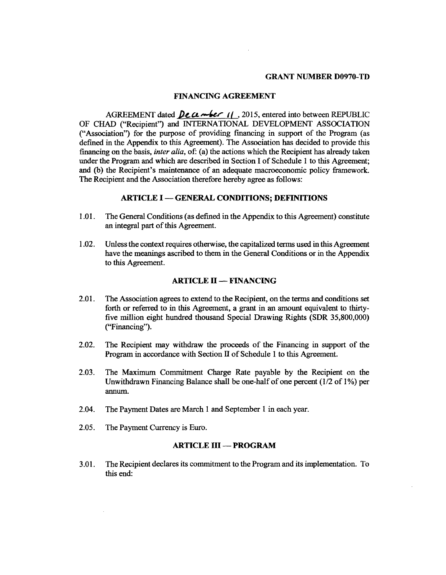#### GRANT **NUMBER D0970-TD**

### **FINANCING AGREEMENT**

AGREEMENT dated *Pecember* 1(, 2015, entered into between REPUBLIC OF **CHAD** ("Recipient") and **INTERNATIONAL DEVELOPMENT ASSOCIATION** ("Association") for the purpose of providing financing in support of the Program (as defined in the Appendix to this Agreement). The Association has decided to provide this financing on the basis, *inter alia,* of: (a) the actions which the Recipient has already taken under the Program and which are described in Section I of Schedule 1 to this Agreement; and **(b)** the Recipient's maintenance of an adequate macroeconomic policy framework. The Recipient and the Association therefore hereby agree as follows:

#### **ARTICLE I - GENERAL CONDITIONS; DEFINITIONS**

- **1.01.** The General Conditions (as defined in the Appendix to this Agreement) constitute an integral part of this Agreement.
- 1.02. Unless the context requires otherwise, the capitalized terms used in this Agreement have the meanings ascribed to them in the General Conditions or in the Appendix to this Agreement.

#### **ARTICLE** H **- FINANCING**

- 2.01. The Association agrees to extend to the Recipient, on the terms and conditions set forth or referred to in this Agreement, a grant in an amount equivalent to thirty- five million eight hundred thousand Special Drawing Rights (SDR **35,800,000)** ("Financing").
- 2.02. The Recipient may withdraw the proceeds of the Financing in support of the Program in accordance with Section **H** of Schedule 1 to this Agreement.
- **2.03.** The Maximum Commitment Charge Rate payable **by** the Recipient on the Unwithdrawn Financing Balance shall be one-half of one percent **(1/2** of **1%)** per annum.
- 2.04. The Payment Dates are March **I** and September 1 in each year.
- *2.05.* The Payment Currency is Euro.

#### **ARTICLE** III **- PROGRAM**

**3.01.** The Recipient declares its commitment to the Program and its implementation. To this end: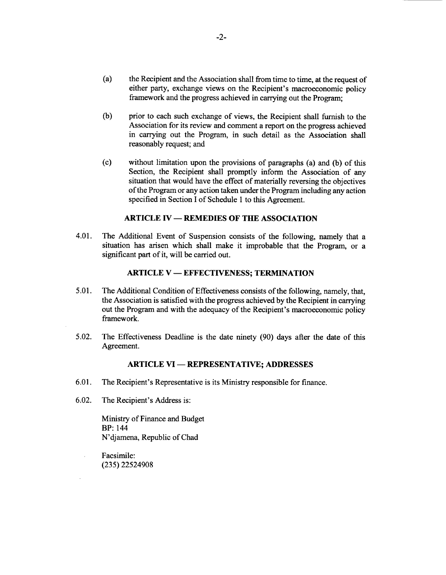- (a) the Recipient and the Association shall from time to time, at the request of either party, exchange views on the Recipient's macroeconomic policy framework and the progress achieved in carrying out the Program;
- **(b)** prior to each such exchange of views, the Recipient shall furnish to the Association for its review and comment a report on the progress achieved in carrying out the Program, in such detail as the Association shall reasonably request; and
- **(c)** without limitation upon the provisions of paragraphs (a) and **(b)** of this Section, the Recipient shall promptly inform the Association of any situation that would have the effect of materially reversing the objectives of the Program or any action taken under the Program including any action specified in Section **I** of Schedule 1 to this Agreement.

# **ARTICLE IV - REMEDIES OF THE ASSOCIATION**

4.01. The Additional Event of Suspension consists of the following, namely that a situation has arisen which shall make it improbable that the Program, or a significant part of it, will be carried out.

### **ARTICLE V - EFFECTIVENESS; TERMINATION**

- *5.01.* The Additional Condition of Effectiveness consists of the following, namely, that, the Association is satisfied with the progress achieved **by** the Recipient in carrying out the Program and with the adequacy of the Recipient's macroeconomic policy framework.
- **5.02.** The Effectiveness Deadline is the date ninety **(90)** days after the date of this Agreement.

#### **ARTICLE VI - REPRESENTATIVE; ADDRESSES**

- **6.01.** The Recipient's Representative is its Ministry responsible for finance.
- **6.02.** The Recipient's Address is:

Ministry of Finance and Budget BP: 144 N'djamena, Republic of Chad

Facsimile: **(235) 22524908**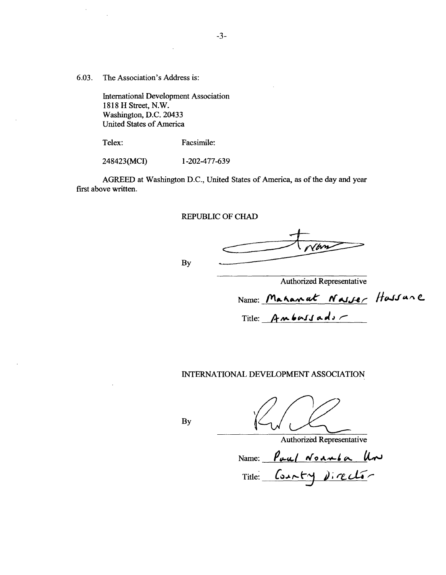**6.03.** The Association's Address is:

International Development Association **1818** H Street, N.W. Washington, **D.C.** 20433 United States of America

Telex: Facsimile:

248423(MCI) **1-202-477-639**

AGREED at Washington **D.C.,** United States of America, as of the day and year first above written.

**-3-**

REPUBLIC OF **CHAD**

**By**

Authorized Representative

Name: Mahanat Nasser Hassane

Title: Ambussads

INTERNATIONAL **DEVELOPMENT ASSOCIATION**

**By**

Authorized Representative

Name: *Poul Noumba Un*<br>Title: County Director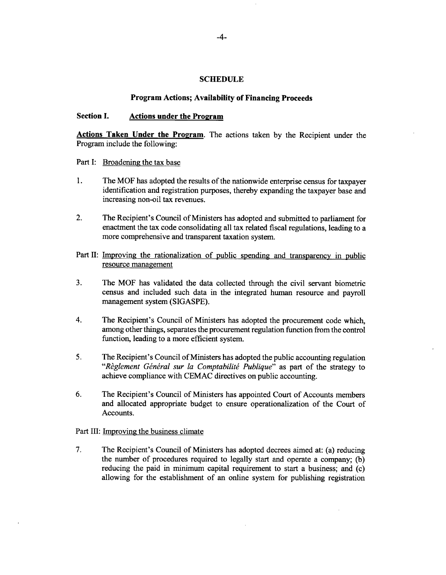#### **SCHEDULE**

#### **Program Actions; Availability of Financing Proceeds**

# **Section I.** Actions under the Program

**Actions Taken Under the Program.** The actions taken **by** the Recipient under the Program include the following:

Part I: Broadening the tax base

- **1.** The MOF has adopted the results of the nationwide enterprise census for taxpayer identification and registration purposes, thereby expanding the taxpayer base and increasing non-oil tax revenues.
- 2. The Recipient's Council of Ministers has adopted and submitted to parliament for enactment the tax code consolidating all tax related fiscal regulations, leading to a more comprehensive and transparent taxation system.
- Part II: Improving the rationalization of public spending and transparency in public resource management
- **3.** The MOF has validated the data collected through the civil servant biometric census and included such data in the integrated human resource and payroll management system **(SIGASPE).**
- 4. The Recipient's Council of Ministers has adopted the procurement code which, among other things, separates the procurement regulation function from the control function, leading to a more efficient system.
- *5.* The Recipient's Council of Ministers has adopted the public accounting regulation "Règlement Général sur la Comptabilité Publique" as part of the strategy to achieve compliance with **CEMAC** directives on public accounting.
- **6.** The Recipient's Council of Ministers has appointed Court of Accounts members and allocated appropriate budget to ensure operationalization of the Court of Accounts.

Part III: **Improving the business climate** 

**7.** The Recipient's Council of Ministers has adopted decrees aimed at: (a) reducing the number of procedures required to legally start and operate a company; **(b)** reducing the paid in minimum capital requirement to start a business; and (c) allowing for the establishment of an online system for publishing registration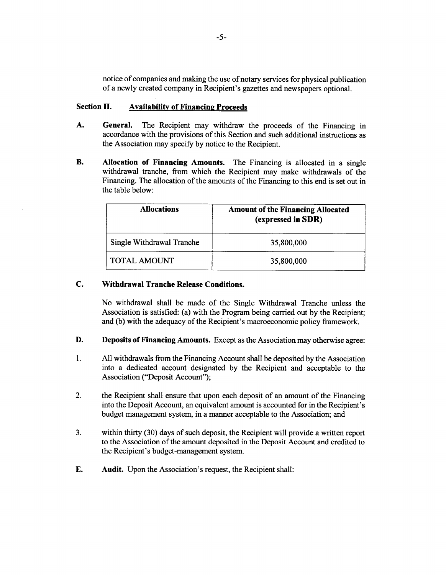notice of companies and making the use of notary services for physical publication of a newly created company in Recipient's gazettes and newspapers optional.

#### **Section II.** Availability of Financing Proceeds

- **A. General.** The Recipient may withdraw the proceeds of the Financing in accordance with the provisions of this Section and such additional instructions as the Association may specify **by** notice to the Recipient.
- **B. Allocation of Financing Amounts.** The Financing is allocated in a single withdrawal tranche, from which the Recipient may make withdrawals of the Financing. The allocation of the amounts of the Financing to this end is set out in the table below:

| <b>Allocations</b>        | <b>Amount of the Financing Allocated</b><br>(expressed in SDR) |
|---------------------------|----------------------------------------------------------------|
| Single Withdrawal Tranche | 35,800,000                                                     |
| <b>TOTAL AMOUNT</b>       | 35,800,000                                                     |

# **C. Withdrawal Tranche Release Conditions.**

No withdrawal shall be made of the Single Withdrawal Tranche unless the Association is satisfied: (a) with the Program being carried out **by** the Recipient; and **(b)** with the adequacy of the Recipient's macroeconomic policy framework.

- **D. Deposits of Financing Amounts.** Except as the Association may otherwise agree:
- 1. **All** withdrawals from the Financing Account shall be deposited **by** the Association into a dedicated account designated **by** the Recipient and acceptable to the Association ("Deposit Account");
- 2. the Recipient shall ensure that upon each deposit of an amount of the Financing into the Deposit Account, an equivalent amount is accounted for in the Recipient's budget management system, in a manner acceptable to the Association; and
- **3.** within thirty **(30)** days of such deposit, the Recipient will provide a written report to the Association of the amount deposited in the Deposit Account and credited to the Recipient's budget-management system.
- **E. Audit.** Upon the Association's request, the Recipient shall: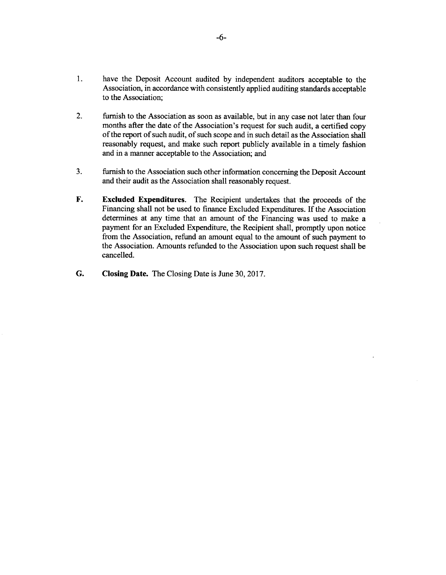- **1.** have the Deposit Account audited **by** independent auditors acceptable to the Association, in accordance with consistently applied auditing standards acceptable to the Association;
- 2. furnish to the Association as soon as available, but in any case not later than four months after the date of the Association's request for such audit, a certified copy of the report of such audit, of such scope and in such detail as the Association shall reasonably request, and make such report publicly available in a timely fashion and in a manner acceptable to the Association; and
- **3.** furnish to the Association such other information concerning the Deposit Account and their audit as the Association shall reasonably request.
- F. **Excluded Expenditures.** The Recipient undertakes that the proceeds of the Financing shall not be used to finance Excluded Expenditures. **If** the Association determines at any time that an amount of the Financing was used to make a payment for an Excluded Expenditure, the Recipient shall, promptly upon notice from the Association, refund an amount equal to the amount of such payment to the Association. Amounts refunded to the Association upon such request shall be cancelled.
- **G. Closing Date.** The Closing Date is June **30, 2017.**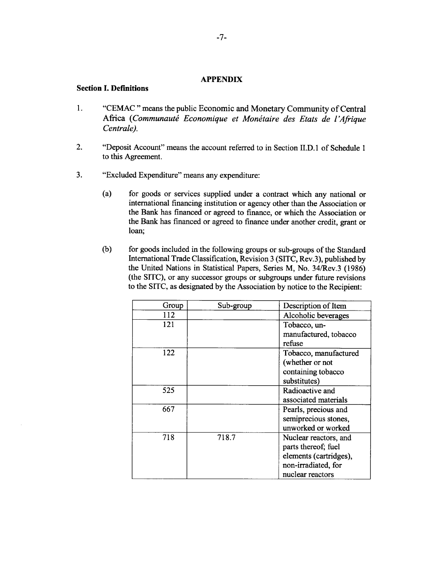#### **APPENDIX**

# **Section I. Definitions**

- 1. **"CEMAC"** means the public Economic and Monetary Community of Central Africa (Communauté Economique et Monétaire des Etats de l'Afrique *Centrale).*
- 2. "Deposit Account" means the account referred to in Section **II.D.** 1 of Schedule **<sup>1</sup>** to this Agreement.
- **3.** "Excluded Expenditure" means any expenditure:
	- (a) for goods or services supplied under a contract which any national or international financing institution or agency other than the Association or the Bank has financed or agreed to finance, or which the Association or the Bank has financed or agreed to finance under another credit, grant or loan;
	- **(b)** for goods included in the following groups or sub-groups of the Standard International Trade Classification, Revision **3 (SITC,** Rev.3), published **by** the United Nations in Statistical Papers, Series M, No. 34/Rev.3 **(1986)** (the **SITC),** or any successor groups or subgroups under future revisions to the SITC, as designated **by** the Association **by** notice to the Recipient:

| Group | Sub-group | Description of Item    |
|-------|-----------|------------------------|
| 112   |           | Alcoholic beverages    |
| 121   |           | Tobacco, un-           |
|       |           | manufactured, tobacco  |
|       |           | refuse                 |
| 122   |           | Tobacco, manufactured  |
|       |           | (whether or not        |
|       |           | containing tobacco     |
|       |           | substitutes)           |
| 525   |           | Radioactive and        |
|       |           | associated materials   |
| 667   |           | Pearls, precious and   |
|       |           | semiprecious stones,   |
|       |           | unworked or worked     |
| 718   | 718.7     | Nuclear reactors, and  |
|       |           | parts thereof; fuel    |
|       |           | elements (cartridges), |
|       |           | non-irradiated, for    |
|       |           | nuclear reactors       |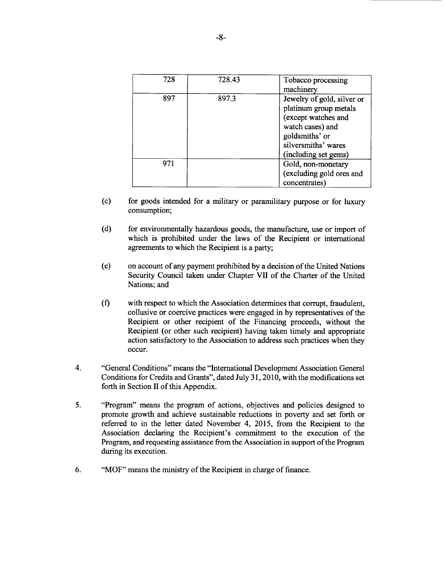| 728 | 728.43 | Tobacco processing<br>machinery                                                                                                                                 |
|-----|--------|-----------------------------------------------------------------------------------------------------------------------------------------------------------------|
| 897 | 897.3  | Jewelry of gold, silver or<br>platinum group metals<br>(except watches and<br>watch cases) and<br>goldsmiths' or<br>silversmiths' wares<br>(including set gems) |
| 971 |        | Gold, non-monetary<br>(excluding gold ores and<br>concentrates)                                                                                                 |

- **(c)** for goods intended for a military or paramilitary purpose or for luxury consumption;
- **(d)** for environmentally hazardous goods, the manufacture, use or import of which is prohibited under the laws of the Recipient or international agreements to which the Recipient is a party;
- (e) on account of any payment prohibited **by** a decision of the United Nations Security Council taken under Chapter VII of the Charter of the United Nations; and
- **(f)** with respect to which the Association determines that corrupt, fraudulent, collusive or coercive practices were engaged in **by** representatives of the Recipient or other recipient of the Financing proceeds, without the Recipient (or other such recipient) having taken timely and appropriate action satisfactory to the Association to address such practices when they occur.
- 4. "General Conditions" means the "International Development Association General Conditions for Credits and Grants", dated July **31, 2010,** with the modifications set forth in Section II of this Appendix.
- *5.* "Program" means the program of actions, objectives and policies designed to promote growth and achieve sustainable reductions in poverty and set forth or referred to in the letter dated November 4, **2015,** from the Recipient to the Association declaring the Recipient's commitment to the execution of the Program, and requesting assistance from the Association in support of the Program during its execution.
- **6.** "MOF" means the ministry of the Recipient in charge of finance.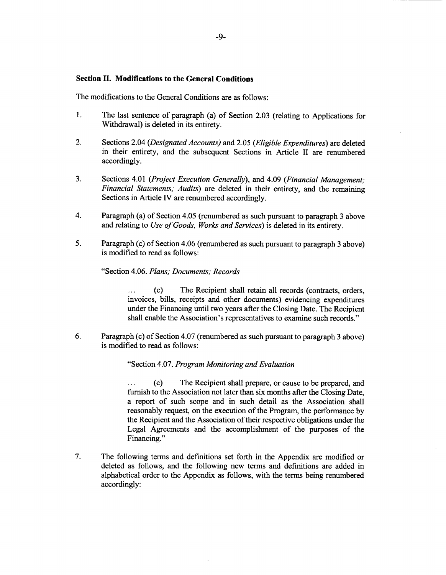#### **Section H. Modifications to the General Conditions**

The modifications to the General Conditions are as follows:

- 1. The last sentence of paragraph (a) of Section **2.03** (relating to Applications for Withdrawal) is deleted in its entirety.
- 2. Sections 2.04 *(Designated Accounts)* and *2.05 (Eligible Expenditures)* are deleted in their entirety, and the subsequent Sections in Article II are renumbered accordingly.
- **3.** Sections 4.01 *(Project Execution Generally),* and 4.09 *(Financial Management; Financial Statements; Audits)* are deleted in their entirety, and the remaining Sections in Article IV are renumbered accordingly.
- 4. Paragraph (a) of Section 4.05 (renumbered as such pursuant to paragraph **3** above and relating to *Use of Goods, Works and Services)* is deleted in its entirety.
- *5.* Paragraph (c) of Section 4.06 (renumbered as such pursuant to paragraph **3** above) is modified to read as follows:

#### "Section 4.06. *Plans; Documents; Records*

... **(c)** The Recipient shall retain all records (contracts, orders, invoices, bills, receipts and other documents) evidencing expenditures under the Financing until two years after the Closing Date. The Recipient shall enable the Association's representatives to examine such records."

**6.** Paragraph (c) of Section 4.07 (renumbered as such pursuant to paragraph **3** above) is modified to read as follows:

#### "Section 4.07. *Program Monitoring and Evaluation*

**... (c)** The Recipient shall prepare, or cause to be prepared, and furnish to the Association not later than six months after the Closing Date, a report of such scope and in such detail as the Association shall reasonably request, on the execution of the Program, the performance **by** the Recipient and the Association of their respective obligations under the Legal Agreements and the accomplishment of the purposes of the Financing."

**7.** The following terms and definitions set forth in the Appendix are modified or deleted as follows, and the following new terms and definitions are added in alphabetical order to the Appendix as follows, with the terms being renumbered accordingly: